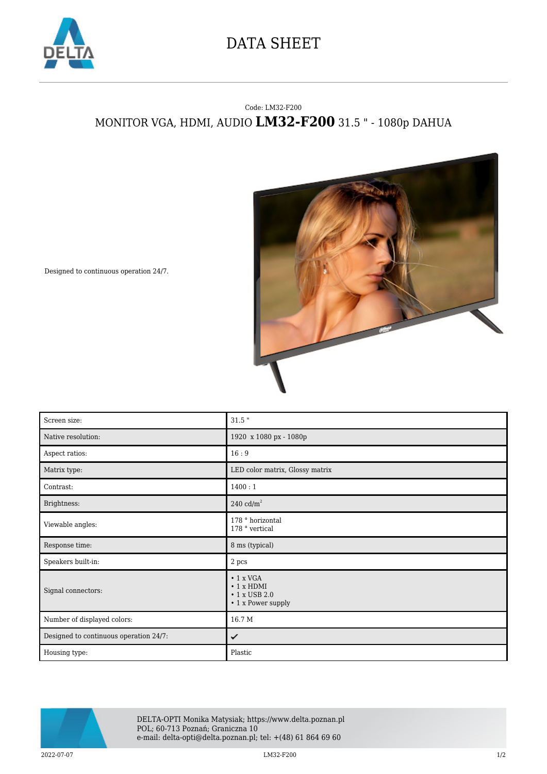

## DATA SHEET

## Code: LM32-F200 MONITOR VGA, HDMI, AUDIO **LM32-F200** 31.5 " - 1080p DAHUA



Designed to continuous operation 24/7.

| Screen size:                           | $31.5$ "                                                      |
|----------------------------------------|---------------------------------------------------------------|
| Native resolution:                     | 1920 x 1080 px - 1080p                                        |
| Aspect ratios:                         | 16:9                                                          |
| Matrix type:                           | LED color matrix, Glossy matrix                               |
| Contrast:                              | 1400:1                                                        |
| Brightness:                            | 240 $\text{cd/m}^2$                                           |
| Viewable angles:                       | 178 ° horizontal<br>178 ° vertical                            |
| Response time:                         | 8 ms (typical)                                                |
| Speakers built-in:                     | 2 pcs                                                         |
|                                        | $\cdot$ 1 x VGA                                               |
| Signal connectors:                     | $\cdot$ 1 x HDMI<br>$\cdot$ 1 x USB 2.0<br>• 1 x Power supply |
| Number of displayed colors:            | 16.7 M                                                        |
| Designed to continuous operation 24/7: | ✓                                                             |



DELTA-OPTI Monika Matysiak; https://www.delta.poznan.pl POL; 60-713 Poznań; Graniczna 10 e-mail: delta-opti@delta.poznan.pl; tel: +(48) 61 864 69 60